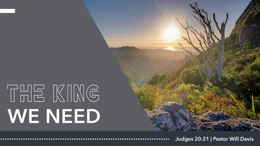

Judges 20-21 | Pastor Will Davis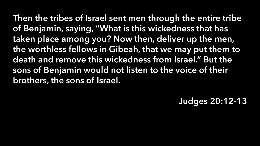Then the tribes of Israel sent men through the entire tribe of Benjamin, saying, "What is this wickedness that has taken place among you? Now then, deliver up the men, the worthless fellows in Gibeah, that we may put them to death and remove this wickedness from Israel." But the sons of Benjamin would not listen to the voice of their brothers, the sons of Israel.

Judges 20:12-13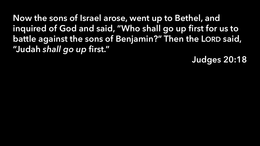Now the sons of Israel arose, went up to Bethel, and inquired of God and said, "Who shall go up first for us to battle against the sons of Benjamin?" Then the LORD said, "Judah *shall go up* first."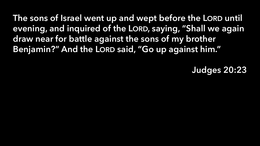The sons of Israel went up and wept before the LORD until evening, and inquired of the LORD, saying, "Shall we again draw near for battle against the sons of my brother Benjamin?" And the LORD said, "Go up against him."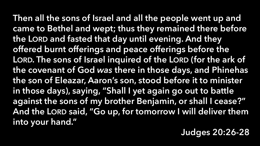Then all the sons of Israel and all the people went up and came to Bethel and wept; thus they remained there before the LORD and fasted that day until evening. And they offered burnt offerings and peace offerings before the LORD. The sons of Israel inquired of the LORD (for the ark of the covenant of God *was* there in those days, and Phinehas the son of Eleazar, Aaron's son, stood before it to minister in those days), saying, "Shall I yet again go out to battle against the sons of my brother Benjamin, or shall I cease?" And the LORD said, "Go up, for tomorrow I will deliver them into your hand."

### Judges 20:26-28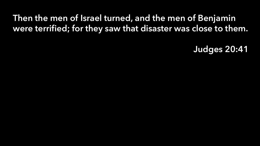## Then the men of Israel turned, and the men of Benjamin were terrified; for they saw that disaster was close to them.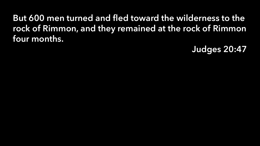### But 600 men turned and fled toward the wilderness to the rock of Rimmon, and they remained at the rock of Rimmon four months.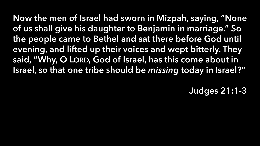Now the men of Israel had sworn in Mizpah, saying, "None of us shall give his daughter to Benjamin in marriage." So the people came to Bethel and sat there before God until evening, and lifted up their voices and wept bitterly. They said, "Why, O LORD, God of Israel, has this come about in Israel, so that one tribe should be *missing* today in Israel?"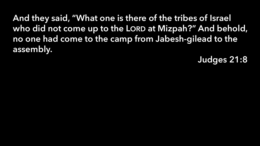And they said, "What one is there of the tribes of Israel who did not come up to the LORD at Mizpah?" And behold, no one had come to the camp from Jabesh-gilead to the assembly.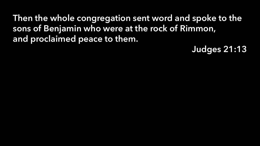Then the whole congregation sent word and spoke to the sons of Benjamin who were at the rock of Rimmon, and proclaimed peace to them.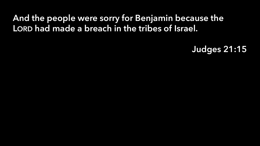### And the people were sorry for Benjamin because the LORD had made a breach in the tribes of Israel.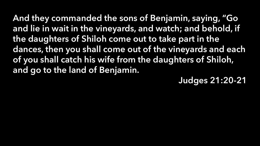And they commanded the sons of Benjamin, saying, "Go and lie in wait in the vineyards, and watch; and behold, if the daughters of Shiloh come out to take part in the dances, then you shall come out of the vineyards and each of you shall catch his wife from the daughters of Shiloh, and go to the land of Benjamin.

Judges 21:20-21